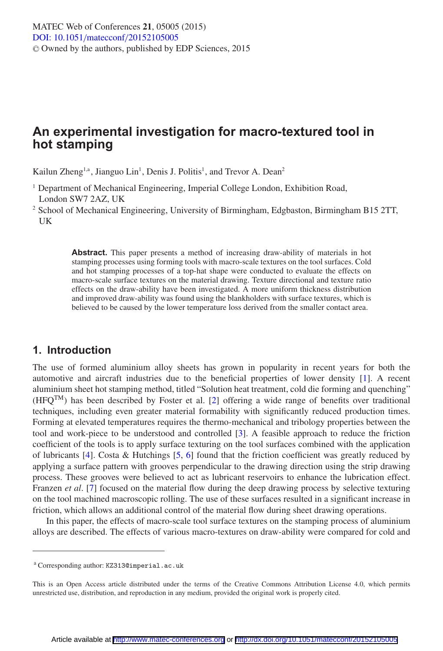# **An experimental investigation for macro-textured tool in hot stamping**

Kailun Zheng<sup>1,a</sup>, Jianguo Lin<sup>1</sup>, Denis J. Politis<sup>1</sup>, and Trevor A. Dean<sup>2</sup>

- <sup>1</sup> Department of Mechanical Engineering, Imperial College London, Exhibition Road, London SW7 2AZ, UK
- <sup>2</sup> School of Mechanical Engineering, University of Birmingham, Edgbaston, Birmingham B15 2TT, UK

**Abstract.** This paper presents a method of increasing draw-ability of materials in hot stamping processes using forming tools with macro-scale textures on the tool surfaces. Cold and hot stamping processes of a top-hat shape were conducted to evaluate the effects on macro-scale surface textures on the material drawing. Texture directional and texture ratio effects on the draw-ability have been investigated. A more uniform thickness distribution and improved draw-ability was found using the blankholders with surface textures, which is believed to be caused by the lower temperature loss derived from the smaller contact area.

# **1. Introduction**

The use of formed aluminium alloy sheets has grown in popularity in recent years for both the automotive and aircraft industries due to the beneficial properties of lower density [\[1\]](#page-5-0). A recent aluminium sheet hot stamping method, titled "Solution heat treatment, cold die forming and quenching"  $(HFQ^{TM})$  has been described by Foster et al. [\[2](#page-5-1)] offering a wide range of benefits over traditional techniques, including even greater material formability with significantly reduced production times. Forming at elevated temperatures requires the thermo-mechanical and tribology properties between the tool and work-piece to be understood and controlled [\[3](#page-5-2)]. A feasible approach to reduce the friction coefficient of the tools is to apply surface texturing on the tool surfaces combined with the application of lubricants [\[4\]](#page-6-0). Costa & Hutchings [\[5,](#page-6-1) [6](#page-6-2)] found that the friction coefficient was greatly reduced by applying a surface pattern with grooves perpendicular to the drawing direction using the strip drawing process. These grooves were believed to act as lubricant reservoirs to enhance the lubrication effect. Franzen *et al*. [\[7](#page-6-3)] focused on the material flow during the deep drawing process by selective texturing on the tool machined macroscopic rolling. The use of these surfaces resulted in a significant increase in friction, which allows an additional control of the material flow during sheet drawing operations.

In this paper, the effects of macro-scale tool surface textures on the stamping process of aluminium alloys are described. The effects of various macro-textures on draw-ability were compared for cold and

<sup>a</sup> Corresponding author: KZ313@imperial.ac.uk

This is an Open Access article distributed under the terms of the Creative Commons Attribution License 4.0, which permits unrestricted use, distribution, and reproduction in any medium, provided the original work is properly cited.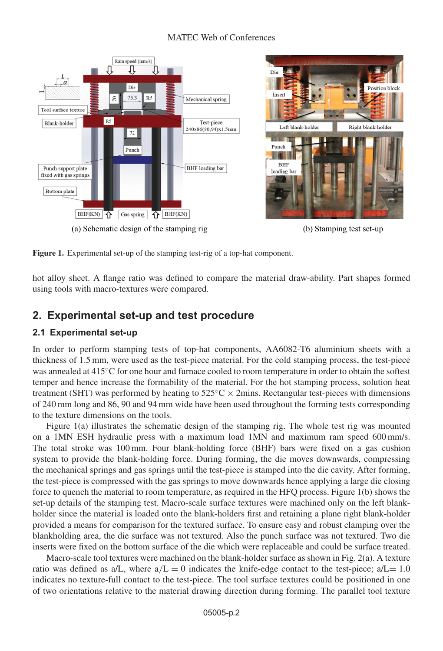### MATEC Web of Conferences



**Figure 1.** Experimental set-up of the stamping test-rig of a top-hat component.

hot alloy sheet. A flange ratio was defined to compare the material draw-ability. Part shapes formed using tools with macro-textures were compared.

# **2. Experimental set-up and test procedure**

### **2.1 Experimental set-up**

In order to perform stamping tests of top-hat components, AA6082-T6 aluminium sheets with a thickness of 1.5 mm, were used as the test-piece material. For the cold stamping process, the test-piece was annealed at 415°C for one hour and furnace cooled to room temperature in order to obtain the softest temper and hence increase the formability of the material. For the hot stamping process, solution heat treatment (SHT) was performed by heating to  $525^{\circ}$ C × 2mins. Rectangular test-pieces with dimensions of 240 mm long and 86, 90 and 94 mm wide have been used throughout the forming tests corresponding to the texture dimensions on the tools.

Figure 1(a) illustrates the schematic design of the stamping rig. The whole test rig was mounted on a 1MN ESH hydraulic press with a maximum load 1MN and maximum ram speed 600 mm/s. The total stroke was 100 mm. Four blank-holding force (BHF) bars were fixed on a gas cushion system to provide the blank-holding force. During forming, the die moves downwards, compressing the mechanical springs and gas springs until the test-piece is stamped into the die cavity. After forming, the test-piece is compressed with the gas springs to move downwards hence applying a large die closing force to quench the material to room temperature, as required in the HFQ process. Figure 1(b) shows the set-up details of the stamping test. Macro-scale surface textures were machined only on the left blankholder since the material is loaded onto the blank-holders first and retaining a plane right blank-holder provided a means for comparison for the textured surface. To ensure easy and robust clamping over the blankholding area, the die surface was not textured. Also the punch surface was not textured. Two die inserts were fixed on the bottom surface of the die which were replaceable and could be surface treated.

Macro-scale tool textures were machined on the blank-holder surface as shown in Fig. 2(a). A texture ratio was defined as  $a/L$ , where  $a/L = 0$  indicates the knife-edge contact to the test-piece;  $a/L = 1.0$ indicates no texture-full contact to the test-piece. The tool surface textures could be positioned in one of two orientations relative to the material drawing direction during forming. The parallel tool texture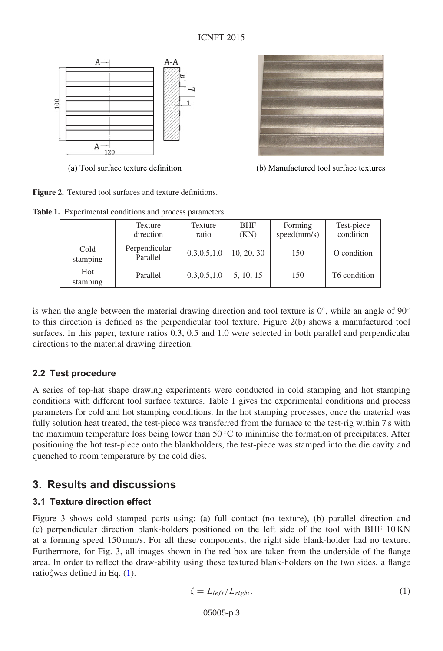

**Figure 2.** Textured tool surfaces and texture definitions.

**Table 1.** Experimental conditions and process parameters.

|                  | Texture<br>direction      | Texture<br>ratio | <b>BHF</b><br>(KN) | Forming<br>speed(mm/s) | Test-piece<br>condition |
|------------------|---------------------------|------------------|--------------------|------------------------|-------------------------|
| Cold<br>stamping | Perpendicular<br>Parallel | 0.3, 0.5, 1.0    | 10, 20, 30         | 150                    | O condition             |
| Hot<br>stamping  | Parallel                  | 0.3, 0.5, 1.0    | 5, 10, 15          | 150                    | T6 condition            |

is when the angle between the material drawing direction and tool texture is  $0^\circ$ , while an angle of  $90^\circ$ to this direction is defined as the perpendicular tool texture. Figure 2(b) shows a manufactured tool surfaces. In this paper, texture ratios 0.3, 0.5 and 1.0 were selected in both parallel and perpendicular directions to the material drawing direction.

### **2.2 Test procedure**

A series of top-hat shape drawing experiments were conducted in cold stamping and hot stamping conditions with different tool surface textures. Table 1 gives the experimental conditions and process parameters for cold and hot stamping conditions. In the hot stamping processes, once the material was fully solution heat treated, the test-piece was transferred from the furnace to the test-rig within 7 s with the maximum temperature loss being lower than  $50^{\circ}$ C to minimise the formation of precipitates. After positioning the hot test-piece onto the blankholders, the test-piece was stamped into the die cavity and quenched to room temperature by the cold dies.

# **3. Results and discussions**

### **3.1 Texture direction effect**

Figure 3 shows cold stamped parts using: (a) full contact (no texture), (b) parallel direction and (c) perpendicular direction blank-holders positioned on the left side of the tool with BHF 10 KN at a forming speed 150 mm/s. For all these components, the right side blank-holder had no texture. Furthermore, for Fig. 3, all images shown in the red box are taken from the underside of the flange area. In order to reflect the draw-ability using these textured blank-holders on the two sides, a flange ratio $\zeta$  was defined in Eq. [\(1\)](#page-2-0).

<span id="page-2-0"></span>
$$
\zeta = L_{left}/L_{right}.\tag{1}
$$



(a) Tool surface texture definition (b) Manufactured tool surface textures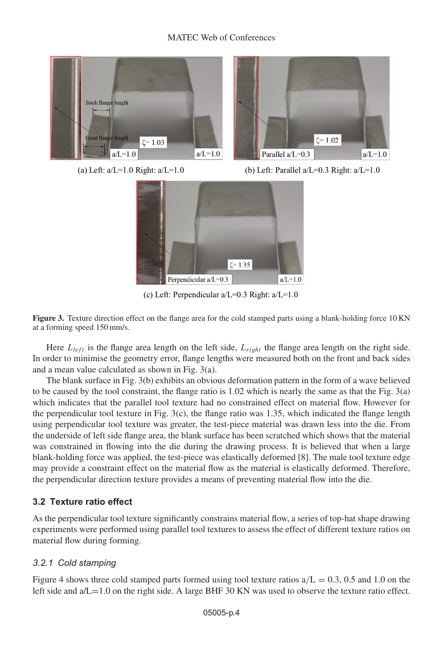

(a) Left:  $a/L=1.0$  Right:  $a/L=1.0$  (b) Left: Parallel  $a/L=0.3$  Right:  $a/L=1.0$ 



(c) Left: Perpendicular a/L=0.3 Right: a/L=1.0

**Figure 3.** Texture direction effect on the flange area for the cold stamped parts using a blank-holding force 10 KN at a forming speed 150 mm/s.

Here  $L_{left}$  is the flange area length on the left side,  $L_{right}$  the flange area length on the right side. In order to minimise the geometry error, flange lengths were measured both on the front and back sides and a mean value calculated as shown in Fig. 3(a).

The blank surface in Fig. 3(b) exhibits an obvious deformation pattern in the form of a wave believed to be caused by the tool constraint, the flange ratio is 1.02 which is nearly the same as that the Fig. 3(a) which indicates that the parallel tool texture had no constrained effect on material flow. However for the perpendicular tool texture in Fig.  $3(c)$ , the flange ratio was 1.35, which indicated the flange length using perpendicular tool texture was greater, the test-piece material was drawn less into the die. From the underside of left side flange area, the blank surface has been scratched which shows that the material was constrained in flowing into the die during the drawing process. It is believed that when a large blank-holding force was applied, the test-piece was elastically deformed [8]. The male tool texture edge may provide a constraint effect on the material flow as the material is elastically deformed. Therefore, the perpendicular direction texture provides a means of preventing material flow into the die.

### **3.2 Texture ratio effect**

As the perpendicular tool texture significantly constrains material flow, a series of top-hat shape drawing experiments were performed using parallel tool textures to assess the effect of different texture ratios on material flow during forming.

### *3.2.1 Cold stamping*

Figure 4 shows three cold stamped parts formed using tool texture ratios  $a/L = 0.3$ , 0.5 and 1.0 on the left side and a/L=1.0 on the right side. A large BHF 30 KN was used to observe the texture ratio effect.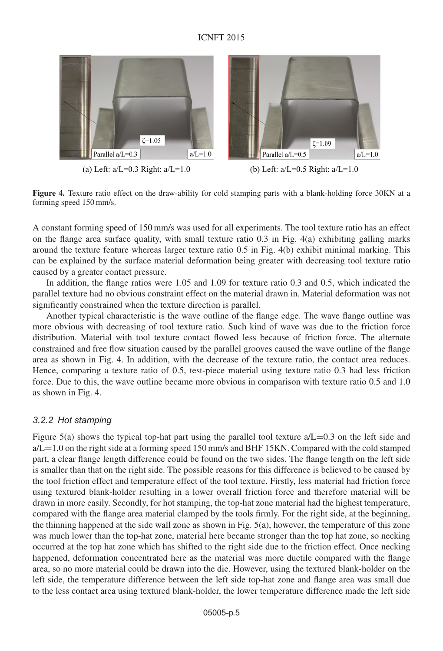### ICNFT 2015



(a) Left:  $a/L=0.3$  Right:  $a/L=1.0$  (b) Left:  $a/L=0.5$  Right:  $a/L=1.0$ 

**Figure 4.** Texture ratio effect on the draw-ability for cold stamping parts with a blank-holding force 30KN at a forming speed 150 mm/s.

A constant forming speed of 150 mm/s was used for all experiments. The tool texture ratio has an effect on the flange area surface quality, with small texture ratio 0.3 in Fig. 4(a) exhibiting galling marks around the texture feature whereas larger texture ratio 0.5 in Fig. 4(b) exhibit minimal marking. This can be explained by the surface material deformation being greater with decreasing tool texture ratio caused by a greater contact pressure.

In addition, the flange ratios were 1.05 and 1.09 for texture ratio 0.3 and 0.5, which indicated the parallel texture had no obvious constraint effect on the material drawn in. Material deformation was not significantly constrained when the texture direction is parallel.

Another typical characteristic is the wave outline of the flange edge. The wave flange outline was more obvious with decreasing of tool texture ratio. Such kind of wave was due to the friction force distribution. Material with tool texture contact flowed less because of friction force. The alternate constrained and free flow situation caused by the parallel grooves caused the wave outline of the flange area as shown in Fig. 4. In addition, with the decrease of the texture ratio, the contact area reduces. Hence, comparing a texture ratio of 0.5, test-piece material using texture ratio 0.3 had less friction force. Due to this, the wave outline became more obvious in comparison with texture ratio 0.5 and 1.0 as shown in Fig. 4.

#### *3.2.2 Hot stamping*

Figure 5(a) shows the typical top-hat part using the parallel tool texture  $a/L=0.3$  on the left side and  $a/L=1.0$  on the right side at a forming speed 150 mm/s and BHF 15KN. Compared with the cold stamped part, a clear flange length difference could be found on the two sides. The flange length on the left side is smaller than that on the right side. The possible reasons for this difference is believed to be caused by the tool friction effect and temperature effect of the tool texture. Firstly, less material had friction force using textured blank-holder resulting in a lower overall friction force and therefore material will be drawn in more easily. Secondly, for hot stamping, the top-hat zone material had the highest temperature, compared with the flange area material clamped by the tools firmly. For the right side, at the beginning, the thinning happened at the side wall zone as shown in Fig. 5(a), however, the temperature of this zone was much lower than the top-hat zone, material here became stronger than the top hat zone, so necking occurred at the top hat zone which has shifted to the right side due to the friction effect. Once necking happened, deformation concentrated here as the material was more ductile compared with the flange area, so no more material could be drawn into the die. However, using the textured blank-holder on the left side, the temperature difference between the left side top-hat zone and flange area was small due to the less contact area using textured blank-holder, the lower temperature difference made the left side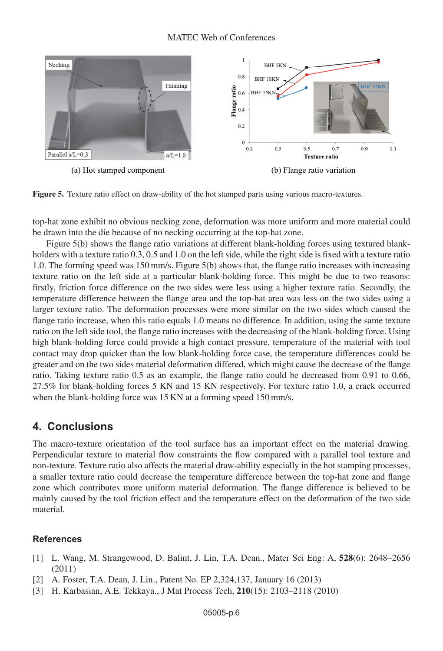

**Figure 5.** Texture ratio effect on draw-ability of the hot stamped parts using various macro-textures.

top-hat zone exhibit no obvious necking zone, deformation was more uniform and more material could be drawn into the die because of no necking occurring at the top-hat zone.

Figure 5(b) shows the flange ratio variations at different blank-holding forces using textured blankholders with a texture ratio 0.3, 0.5 and 1.0 on the left side, while the right side is fixed with a texture ratio 1.0. The forming speed was 150 mm/s. Figure 5(b) shows that, the flange ratio increases with increasing texture ratio on the left side at a particular blank-holding force. This might be due to two reasons: firstly, friction force difference on the two sides were less using a higher texture ratio. Secondly, the temperature difference between the flange area and the top-hat area was less on the two sides using a larger texture ratio. The deformation processes were more similar on the two sides which caused the flange ratio increase, when this ratio equals 1.0 means no difference. In addition, using the same texture ratio on the left side tool, the flange ratio increases with the decreasing of the blank-holding force. Using high blank-holding force could provide a high contact pressure, temperature of the material with tool contact may drop quicker than the low blank-holding force case, the temperature differences could be greater and on the two sides material deformation differed, which might cause the decrease of the flange ratio. Taking texture ratio 0.5 as an example, the flange ratio could be decreased from 0.91 to 0.66, 27.5% for blank-holding forces 5 KN and 15 KN respectively. For texture ratio 1.0, a crack occurred when the blank-holding force was 15 KN at a forming speed 150 mm/s.

### **4. Conclusions**

The macro-texture orientation of the tool surface has an important effect on the material drawing. Perpendicular texture to material flow constraints the flow compared with a parallel tool texture and non-texture. Texture ratio also affects the material draw-ability especially in the hot stamping processes, a smaller texture ratio could decrease the temperature difference between the top-hat zone and flange zone which contributes more uniform material deformation. The flange difference is believed to be mainly caused by the tool friction effect and the temperature effect on the deformation of the two side material.

#### **References**

- <span id="page-5-0"></span>[1] L. Wang, M. Strangewood, D. Balint, J. Lin, T.A. Dean., Mater Sci Eng: A, **528**(6): 2648–2656 (2011)
- <span id="page-5-1"></span>[2] A. Foster, T.A. Dean, J. Lin., Patent No. EP 2,324,137, January 16 (2013)
- <span id="page-5-2"></span>[3] H. Karbasian, A.E. Tekkaya., J Mat Process Tech, **210**(15): 2103–2118 (2010)